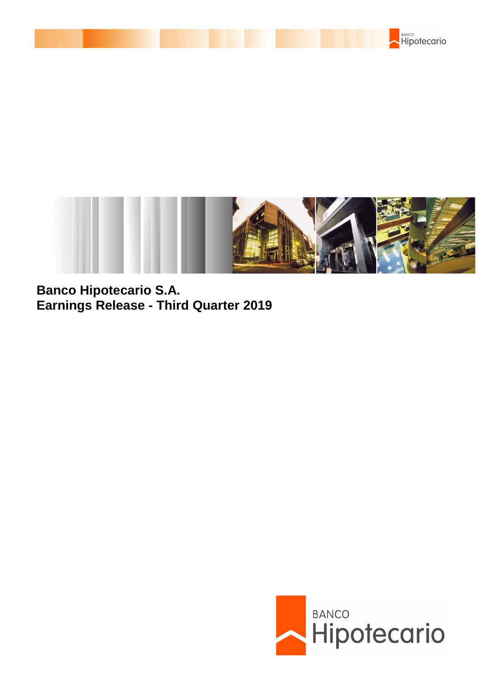



**Banco Hipotecario S.A. Earnings Release - Third Quarter 2019**

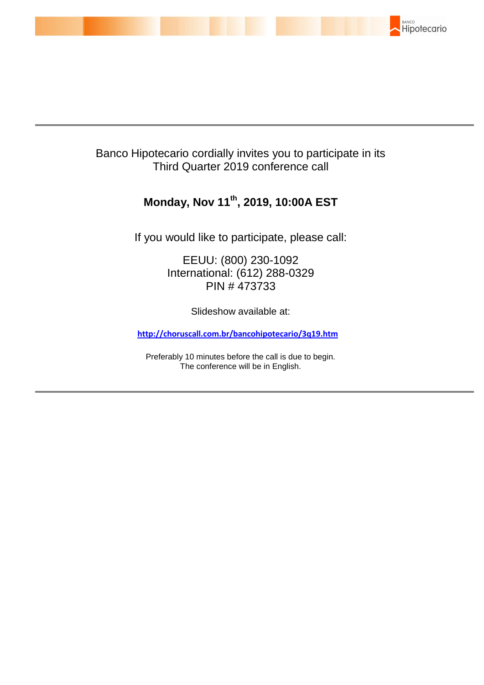

# Banco Hipotecario cordially invites you to participate in its Third Quarter 2019 conference call

# **Monday, Nov 11th , 2019, 10:00A EST**

If you would like to participate, please call:

EEUU: (800) 230-1092 International: (612) 288-0329 PIN # 473733

Slideshow available at:

**http://choruscall.com.br/bancohipotecario/3q19.htm** 

Preferably 10 minutes before the call is due to begin. The conference will be in English.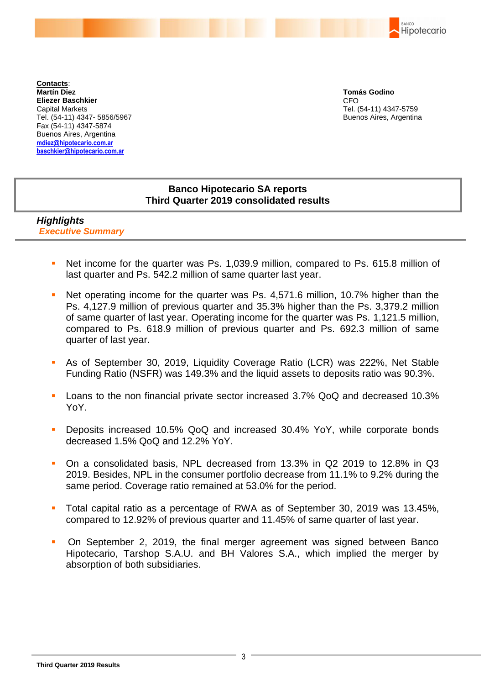BANCO Hipotecario

**Contacts**: **Martín Diez Eliezer Baschkier** Capital Markets Tel. (54-11) 4347- 5856/5967 Fax (54-11) 4347-5874 Buenos Aires, Argentina **mdiez@hipotecario.com.ar [baschkier@hipotecario.com.ar](mailto:baschkier@hipotecario.com.ar)**

**Tomás Godino** CFO Tel. (54-11) 4347-5759 Buenos Aires, Argentina

## **Banco Hipotecario SA reports Third Quarter 2019 consolidated results**

### *Highlights Executive Summary*

- Net income for the quarter was Ps. 1,039.9 million, compared to Ps. 615.8 million of last quarter and Ps. 542.2 million of same quarter last year.
- Net operating income for the quarter was Ps. 4,571.6 million, 10.7% higher than the Ps. 4,127.9 million of previous quarter and 35.3% higher than the Ps. 3,379.2 million of same quarter of last year. Operating income for the quarter was Ps. 1,121.5 million, compared to Ps. 618.9 million of previous quarter and Ps. 692.3 million of same quarter of last year.
- As of September 30, 2019, Liquidity Coverage Ratio (LCR) was 222%, Net Stable Funding Ratio (NSFR) was 149.3% and the liquid assets to deposits ratio was 90.3%.
- Loans to the non financial private sector increased 3.7% QoQ and decreased 10.3% YoY.
- Deposits increased 10.5% QoQ and increased 30.4% YoY, while corporate bonds decreased 1.5% QoQ and 12.2% YoY.
- On a consolidated basis, NPL decreased from 13.3% in Q2 2019 to 12.8% in Q3 2019. Besides, NPL in the consumer portfolio decrease from 11.1% to 9.2% during the same period. Coverage ratio remained at 53.0% for the period.
- Total capital ratio as a percentage of RWA as of September 30, 2019 was 13.45%, compared to 12.92% of previous quarter and 11.45% of same quarter of last year.
- On September 2, 2019, the final merger agreement was signed between Banco Hipotecario, Tarshop S.A.U. and BH Valores S.A., which implied the merger by absorption of both subsidiaries.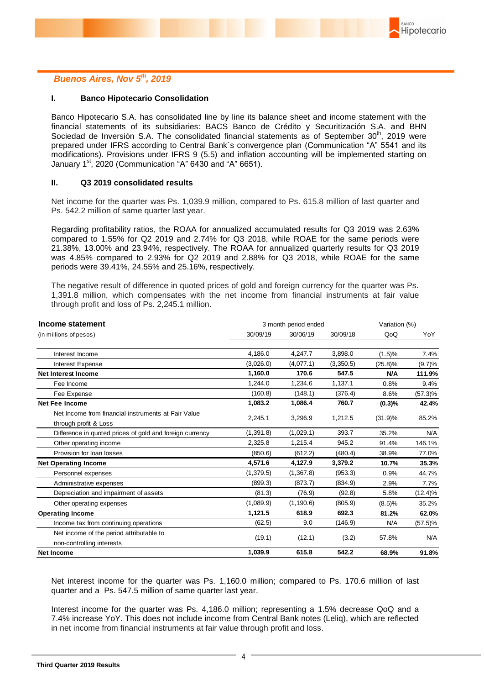

#### *Buenos Aires, Nov 5th, 2019*

#### **I. Banco Hipotecario Consolidation**

Banco Hipotecario S.A. has consolidated line by line its balance sheet and income statement with the financial statements of its subsidiaries: BACS Banco de Crédito y Securitización S.A. and BHN Sociedad de Inversión S.A. The consolidated financial statements as of September 30<sup>th</sup>, 2019 were prepared under IFRS according to Central Bank´s convergence plan (Communication "A" 5541 and its modifications). Provisions under IFRS 9 (5.5) and inflation accounting will be implemented starting on January  $1<sup>st</sup>$ , 2020 (Communication "A" 6430 and "A" 6651).

#### **II. Q3 2019 consolidated results**

Net income for the quarter was Ps. 1,039.9 million, compared to Ps. 615.8 million of last quarter and Ps. 542.2 million of same quarter last year.

Regarding profitability ratios, the ROAA for annualized accumulated results for Q3 2019 was 2.63% compared to 1.55% for Q2 2019 and 2.74% for Q3 2018, while ROAE for the same periods were 21.38%, 13.00% and 23.94%, respectively. The ROAA for annualized quarterly results for Q3 2019 was 4.85% compared to 2.93% for Q2 2019 and 2.88% for Q3 2018, while ROAE for the same periods were 39.41%, 24.55% and 25.16%, respectively.

The negative result of difference in quoted prices of gold and foreign currency for the quarter was Ps. 1,391.8 million, which compensates with the net income from financial instruments at fair value through profit and loss of Ps. 2,245.1 million.

| Income statement                                                             | 3 month period ended |            |           |            |            |
|------------------------------------------------------------------------------|----------------------|------------|-----------|------------|------------|
| (in millions of pesos)                                                       | 30/09/19             | 30/06/19   | 30/09/18  | QoQ        | YoY        |
| Interest Income                                                              | 4,186.0              | 4,247.7    | 3,898.0   | (1.5)%     | 7.4%       |
| Interest Expense                                                             | (3,026.0)            | (4,077.1)  | (3,350.5) | $(25.8)\%$ | (9.7)%     |
| <b>Net Interest Income</b>                                                   | 1,160.0              | 170.6      | 547.5     | <b>N/A</b> | 111.9%     |
| Fee Income                                                                   | 1,244.0              | 1,234.6    | 1,137.1   | 0.8%       | 9.4%       |
| Fee Expense                                                                  | (160.8)              | (148.1)    | (376.4)   | 8.6%       | $(57.3)\%$ |
| <b>Net Fee Income</b>                                                        | 1,083.2              | 1,086.4    | 760.7     | (0.3)%     | 42.4%      |
| Net Income from financial instruments at Fair Value<br>through profit & Loss | 2,245.1              | 3,296.9    | 1,212.5   | (31.9)%    | 85.2%      |
| Difference in quoted prices of gold and foreign currency                     | (1, 391.8)           | (1,029.1)  | 393.7     | 35.2%      | N/A        |
| Other operating income                                                       | 2,325.8              | 1,215.4    | 945.2     | 91.4%      | 146.1%     |
| Provision for loan losses                                                    | (850.6)              | (612.2)    | (480.4)   | 38.9%      | 77.0%      |
| <b>Net Operating Income</b>                                                  | 4,571.6              | 4,127.9    | 3,379.2   | 10.7%      | 35.3%      |
| Personnel expenses                                                           | (1,379.5)            | (1,367.8)  | (953.3)   | 0.9%       | 44.7%      |
| Administrative expenses                                                      | (899.3)              | (873.7)    | (834.9)   | 2.9%       | 7.7%       |
| Depreciation and impairment of assets                                        | (81.3)               | (76.9)     | (92.8)    | 5.8%       | $(12.4)\%$ |
| Other operating expenses                                                     | (1,089.9)            | (1, 190.6) | (805.9)   | (8.5)%     | 35.2%      |
| <b>Operating Income</b>                                                      | 1,121.5              | 618.9      | 692.3     | 81.2%      | 62.0%      |
| Income tax from continuing operations                                        | (62.5)               | 9.0        | (146.9)   | N/A        | $(57.5)\%$ |
| Net income of the period attributable to<br>non-controlling interests        | (19.1)               | (12.1)     | (3.2)     | 57.8%      | N/A        |
| <b>Net Income</b>                                                            | 1,039.9              | 615.8      | 542.2     | 68.9%      | 91.8%      |

Net interest income for the quarter was Ps. 1,160.0 million; compared to Ps. 170.6 million of last quarter and a Ps. 547.5 million of same quarter last year.

Interest income for the quarter was Ps. 4,186.0 million; representing a 1.5% decrease QoQ and a 7.4% increase YoY. This does not include income from Central Bank notes (Leliq), which are reflected in net income from financial instruments at fair value through profit and loss.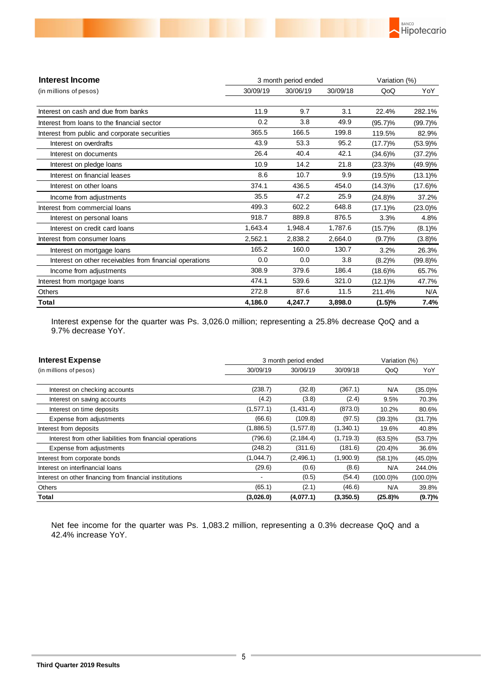

| <b>Interest Income</b>                                  |          | 3 month period ended | Variation (%) |            |            |
|---------------------------------------------------------|----------|----------------------|---------------|------------|------------|
| (in millions of pesos)                                  | 30/09/19 | 30/06/19             | 30/09/18      | QoQ        | YoY        |
| Interest on cash and due from banks                     | 11.9     | 9.7                  | 3.1           | 22.4%      | 282.1%     |
| Interest from loans to the financial sector             | 0.2      | 3.8                  | 49.9          | (95.7)%    | $(99.7)\%$ |
| Interest from public and corporate securities           | 365.5    | 166.5                | 199.8         | 119.5%     | 82.9%      |
| Interest on overdrafts                                  | 43.9     | 53.3                 | 95.2          | (17.7)%    | $(53.9)\%$ |
| Interest on documents                                   | 26.4     | 40.4                 | 42.1          | $(34.6)\%$ | (37.2)%    |
| Interest on pledge loans                                | 10.9     | 14.2                 | 21.8          | $(23.3)\%$ | (49.9)%    |
| Interest on financial leases                            | 8.6      | 10.7                 | 9.9           | $(19.5)\%$ | $(13.1)\%$ |
| Interest on other loans                                 | 374.1    | 436.5                | 454.0         | $(14.3)\%$ | $(17.6)\%$ |
| Income from adjustments                                 | 35.5     | 47.2                 | 25.9          | $(24.8)\%$ | 37.2%      |
| Interest from commercial loans                          | 499.3    | 602.2                | 648.8         | $(17.1)\%$ | $(23.0)\%$ |
| Interest on personal loans                              | 918.7    | 889.8                | 876.5         | 3.3%       | 4.8%       |
| Interest on credit card loans                           | 1,643.4  | 1,948.4              | 1,787.6       | $(15.7)\%$ | (8.1)%     |
| Interest from consumer loans                            | 2,562.1  | 2,838.2              | 2,664.0       | (9.7)%     | (3.8)%     |
| Interest on mortgage loans                              | 165.2    | 160.0                | 130.7         | 3.2%       | 26.3%      |
| Interest on other receivables from financial operations | 0.0      | 0.0                  | 3.8           | (8.2)%     | $(99.8)\%$ |
| Income from adjustments                                 | 308.9    | 379.6                | 186.4         | $(18.6)\%$ | 65.7%      |
| Interest from mortgage loans                            | 474.1    | 539.6                | 321.0         | $(12.1)\%$ | 47.7%      |
| <b>Others</b>                                           | 272.8    | 87.6                 | 11.5          | 211.4%     | N/A        |
| Total                                                   | 4,186.0  | 4,247.7              | 3,898.0       | (1.5)%     | 7.4%       |

Interest expense for the quarter was Ps. 3,026.0 million; representing a 25.8% decrease QoQ and a 9.7% decrease YoY.

| <b>Interest Expense</b>                                   | 3 month period ended | Variation (%) |           |             |             |
|-----------------------------------------------------------|----------------------|---------------|-----------|-------------|-------------|
| (in millions of pesos)                                    | 30/09/19             | 30/06/19      | 30/09/18  | QoQ         | YoY         |
|                                                           |                      |               |           |             |             |
| Interest on checking accounts                             | (238.7)              | (32.8)        | (367.1)   | N/A         | $(35.0)\%$  |
| Interest on saving accounts                               | (4.2)                | (3.8)         | (2.4)     | 9.5%        | 70.3%       |
| Interest on time deposits                                 | (1,577.1)            | (1, 431.4)    | (873.0)   | 10.2%       | 80.6%       |
| Expense from adjustments                                  | (66.6)               | (109.8)       | (97.5)    | $(39.3)\%$  | $(31.7)\%$  |
| Interest from deposits                                    | (1,886.5)            | (1,577.8)     | (1,340.1) | 19.6%       | 40.8%       |
| Interest from other liabilities from financial operations | (796.6)              | (2, 184.4)    | (1,719.3) | $(63.5)\%$  | $(53.7)\%$  |
| Expense from adjustments                                  | (248.2)              | (311.6)       | (181.6)   | $(20.4)\%$  | 36.6%       |
| Interest from corporate bonds                             | (1,044.7)            | (2, 496.1)    | (1,900.9) | $(58.1)\%$  | $(45.0)\%$  |
| Interest on interfinancial loans                          | (29.6)               | (0.6)         | (8.6)     | N/A         | 244.0%      |
| Interest on other financing from financial institutions   |                      | (0.5)         | (54.4)    | $(100.0)\%$ | $(100.0)\%$ |
| Others                                                    | (65.1)               | (2.1)         | (46.6)    | N/A         | 39.8%       |
| Total                                                     | (3,026.0)            | (4,077.1)     | (3,350.5) | $(25.8)\%$  | (9.7)%      |

Net fee income for the quarter was Ps. 1,083.2 million, representing a 0.3% decrease QoQ and a 42.4% increase YoY.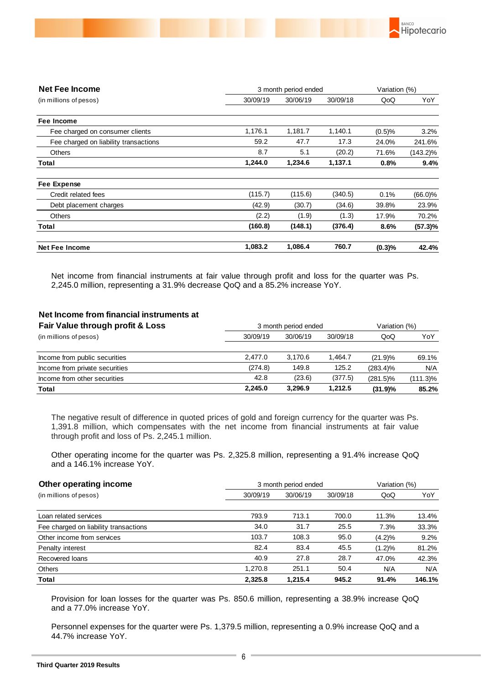

| <b>Net Fee Income</b>                 | 3 month period ended |          | Variation (%) |        |             |
|---------------------------------------|----------------------|----------|---------------|--------|-------------|
| (in millions of pesos)                | 30/09/19             | 30/06/19 | 30/09/18      | QoQ    | YoY         |
| Fee Income                            |                      |          |               |        |             |
| Fee charged on consumer clients       | 1,176.1              | 1,181.7  | 1,140.1       | (0.5)% | 3.2%        |
| Fee charged on liability transactions | 59.2                 | 47.7     | 17.3          | 24.0%  | 241.6%      |
| <b>Others</b>                         | 8.7                  | 5.1      | (20.2)        | 71.6%  | $(143.2)\%$ |
| Total                                 | 1,244.0              | 1,234.6  | 1,137.1       | 0.8%   | 9.4%        |
| Fee Expense                           |                      |          |               |        |             |
| Credit related fees                   | (115.7)              | (115.6)  | (340.5)       | 0.1%   | $(66.0)\%$  |
| Debt placement charges                | (42.9)               | (30.7)   | (34.6)        | 39.8%  | 23.9%       |
| <b>Others</b>                         | (2.2)                | (1.9)    | (1.3)         | 17.9%  | 70.2%       |
| Total                                 | (160.8)              | (148.1)  | (376.4)       | 8.6%   | (57.3)%     |
| <b>Net Fee Income</b>                 | 1,083.2              | 1,086.4  | 760.7         | (0.3)% | 42.4%       |

Net income from financial instruments at fair value through profit and loss for the quarter was Ps. 2,245.0 million, representing a 31.9% decrease QoQ and a 85.2% increase YoY.

#### **Net Income from financial instruments at**

| Fair Value through profit & Loss | 3 month period ended | Variation (%) |          |             |          |
|----------------------------------|----------------------|---------------|----------|-------------|----------|
| (in millions of pesos)           | 30/09/19             | 30/06/19      | 30/09/18 | QoQ         | YoY      |
| Income from public securities    | 2.477.0              | 3.170.6       | 1.464.7  | (21.9)%     | 69.1%    |
| Income from private securities   | (274.8)              | 149.8         | 125.2    | $(283.4)\%$ | N/A      |
| Income from other securities     | 42.8                 | (23.6)        | (377.5)  | $(281.5)\%$ | (111.3)% |
| Total                            | 2.245.0              | 3.296.9       | 1.212.5  | (31.9)%     | 85.2%    |

The negative result of difference in quoted prices of gold and foreign currency for the quarter was Ps. 1,391.8 million, which compensates with the net income from financial instruments at fair value through profit and loss of Ps. 2,245.1 million.

Other operating income for the quarter was Ps. 2,325.8 million, representing a 91.4% increase QoQ and a 146.1% increase YoY.

| Other operating income                |          | 3 month period ended |          |        |        |
|---------------------------------------|----------|----------------------|----------|--------|--------|
| (in millions of pesos)                | 30/09/19 | 30/06/19             | 30/09/18 | QoQ    | YoY    |
|                                       |          |                      |          |        |        |
| Loan related services                 | 793.9    | 713.1                | 700.0    | 11.3%  | 13.4%  |
| Fee charged on liability transactions | 34.0     | 31.7                 | 25.5     | 7.3%   | 33.3%  |
| Other income from services            | 103.7    | 108.3                | 95.0     | (4.2)% | 9.2%   |
| Penalty interest                      | 82.4     | 83.4                 | 45.5     | (1.2)% | 81.2%  |
| Recovered loans                       | 40.9     | 27.8                 | 28.7     | 47.0%  | 42.3%  |
| <b>Others</b>                         | 1.270.8  | 251.1                | 50.4     | N/A    | N/A    |
| Total                                 | 2.325.8  | 1.215.4              | 945.2    | 91.4%  | 146.1% |

Provision for loan losses for the quarter was Ps. 850.6 million, representing a 38.9% increase QoQ and a 77.0% increase YoY.

Personnel expenses for the quarter were Ps. 1,379.5 million, representing a 0.9% increase QoQ and a 44.7% increase YoY.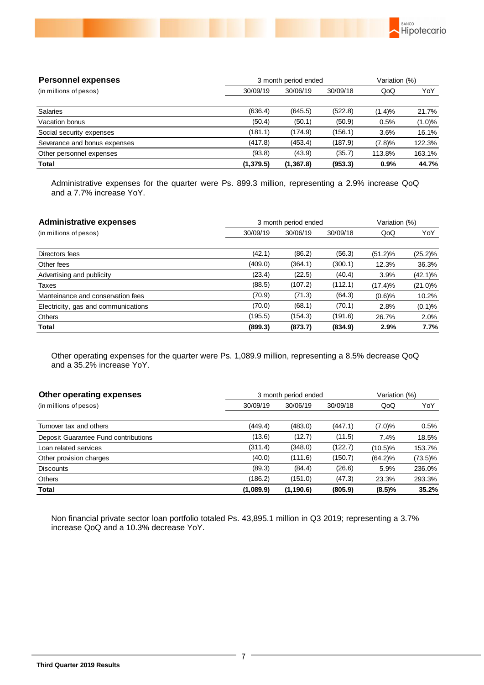

| <b>Personnel expenses</b>    |            | 3 month period ended |          |        |           |
|------------------------------|------------|----------------------|----------|--------|-----------|
| (in millions of pesos)       | 30/09/19   | 30/06/19             | 30/09/18 | QoQ    | YoY       |
| <b>Salaries</b>              | (636.4)    | (645.5)              | (522.8)  | (1.4)% | 21.7%     |
| Vacation bonus               | (50.4)     | (50.1)               | (50.9)   | 0.5%   | $(1.0)\%$ |
| Social security expenses     | (181.1)    | (174.9)              | (156.1)  | 3.6%   | 16.1%     |
| Severance and bonus expenses | (417.8)    | (453.4)              | (187.9)  | (7.8)% | 122.3%    |
| Other personnel expenses     | (93.8)     | (43.9)               | (35.7)   | 113.8% | 163.1%    |
| Total                        | (1, 379.5) | (1, 367.8)           | (953.3)  | 0.9%   | 44.7%     |

Administrative expenses for the quarter were Ps. 899.3 million, representing a 2.9% increase QoQ and a 7.7% increase YoY.

| <b>Administrative expenses</b>      | 3 month period ended | Variation (%) |          |            |            |
|-------------------------------------|----------------------|---------------|----------|------------|------------|
| (in millions of pesos)              | 30/09/19             | 30/06/19      | 30/09/18 | QoQ        | YoY        |
|                                     |                      |               |          |            |            |
| Directors fees                      | (42.1)               | (86.2)        | (56.3)   | $(51.2)\%$ | $(25.2)\%$ |
| Other fees                          | (409.0)              | (364.1)       | (300.1)  | 12.3%      | 36.3%      |
| Advertising and publicity           | (23.4)               | (22.5)        | (40.4)   | 3.9%       | $(42.1)\%$ |
| Taxes                               | (88.5)               | (107.2)       | (112.1)  | (17.4)%    | $(21.0)\%$ |
| Manteinance and conservation fees   | (70.9)               | (71.3)        | (64.3)   | (0.6)%     | 10.2%      |
| Electricity, gas and communications | (70.0)               | (68.1)        | (70.1)   | 2.8%       | (0.1)%     |
| Others                              | (195.5)              | (154.3)       | (191.6)  | 26.7%      | 2.0%       |
| <b>Total</b>                        | (899.3)              | (873.7)       | (834.9)  | 2.9%       | 7.7%       |

Other operating expenses for the quarter were Ps. 1,089.9 million, representing a 8.5% decrease QoQ and a 35.2% increase YoY.

| Other operating expenses             | 3 month period ended | Variation (%) |          |            |            |
|--------------------------------------|----------------------|---------------|----------|------------|------------|
| (in millions of pesos)               | 30/09/19             | 30/06/19      | 30/09/18 | QoQ        | YoY        |
|                                      |                      |               |          |            |            |
| Turnover tax and others              | (449.4)              | (483.0)       | (447.1)  | $(7.0)\%$  | 0.5%       |
| Deposit Guarantee Fund contributions | (13.6)               | (12.7)        | (11.5)   | 7.4%       | 18.5%      |
| Loan related services                | (311.4)              | (348.0)       | (122.7)  | (10.5)%    | 153.7%     |
| Other provision charges              | (40.0)               | (111.6)       | (150.7)  | $(64.2)\%$ | $(73.5)\%$ |
| <b>Discounts</b>                     | (89.3)               | (84.4)        | (26.6)   | 5.9%       | 236.0%     |
| <b>Others</b>                        | (186.2)              | (151.0)       | (47.3)   | 23.3%      | 293.3%     |
| Total                                | (1,089.9)            | (1, 190.6)    | (805.9)  | (8.5)%     | 35.2%      |

Non financial private sector loan portfolio totaled Ps. 43,895.1 million in Q3 2019; representing a 3.7% increase QoQ and a 10.3% decrease YoY.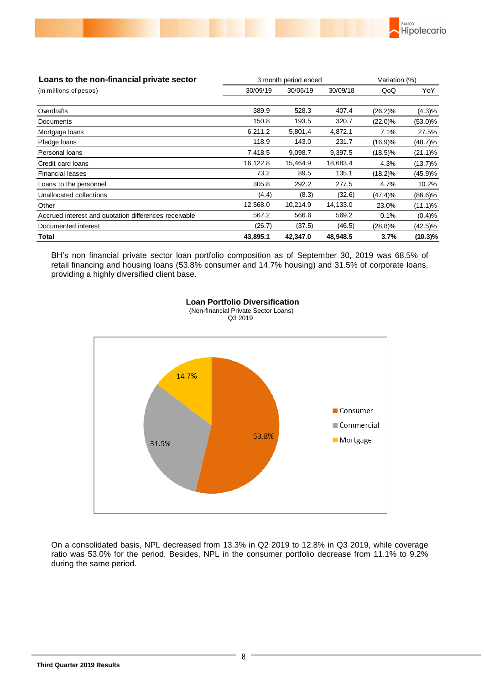

| Loans to the non-financial private sector             | 3 month period ended |          | Variation (%) |            |            |
|-------------------------------------------------------|----------------------|----------|---------------|------------|------------|
| (in millions of pesos)                                | 30/09/19             | 30/06/19 | 30/09/18      | QoQ        | YoY        |
|                                                       |                      |          |               |            |            |
| Overdrafts                                            | 389.9                | 528.3    | 407.4         | $(26.2)\%$ | $(4.3)\%$  |
| Documents                                             | 150.8                | 193.5    | 320.7         | $(22.0)\%$ | $(53.0)\%$ |
| Mortgage loans                                        | 6,211.2              | 5,801.4  | 4,872.1       | 7.1%       | 27.5%      |
| Pledge loans                                          | 118.9                | 143.0    | 231.7         | (16.9)%    | $(48.7)\%$ |
| Personal loans                                        | 7,418.5              | 9,098.7  | 9,397.5       | $(18.5)\%$ | $(21.1)\%$ |
| Credit card loans                                     | 16,122.8             | 15,464.9 | 18,683.4      | 4.3%       | $(13.7)\%$ |
| <b>Financial leases</b>                               | 73.2                 | 89.5     | 135.1         | $(18.2)\%$ | (45.9)%    |
| Loans to the personnel                                | 305.8                | 292.2    | 277.5         | 4.7%       | 10.2%      |
| Unallocated collections                               | (4.4)                | (8.3)    | (32.6)        | (47.4)%    | $(86.6)\%$ |
| Other                                                 | 12,568.0             | 10,214.9 | 14,133.0      | 23.0%      | $(11.1)\%$ |
| Accrued interest and quotation differences receivable | 567.2                | 566.6    | 569.2         | 0.1%       | (0.4)%     |
| Documented interest                                   | (26.7)               | (37.5)   | (46.5)        | $(28.8)\%$ | $(42.5)\%$ |
| Total                                                 | 43,895.1             | 42,347.0 | 48,948.5      | 3.7%       | $(10.3)\%$ |

BH's non financial private sector loan portfolio composition as of September 30, 2019 was 68.5% of retail financing and housing loans (53.8% consumer and 14.7% housing) and 31.5% of corporate loans, providing a highly diversified client base.



 **Loan Portfolio Diversification** (Non-financial Private Sector Loans) Q3 2019

On a consolidated basis, NPL decreased from 13.3% in Q2 2019 to 12.8% in Q3 2019, while coverage ratio was 53.0% for the period. Besides, NPL in the consumer portfolio decrease from 11.1% to 9.2% during the same period.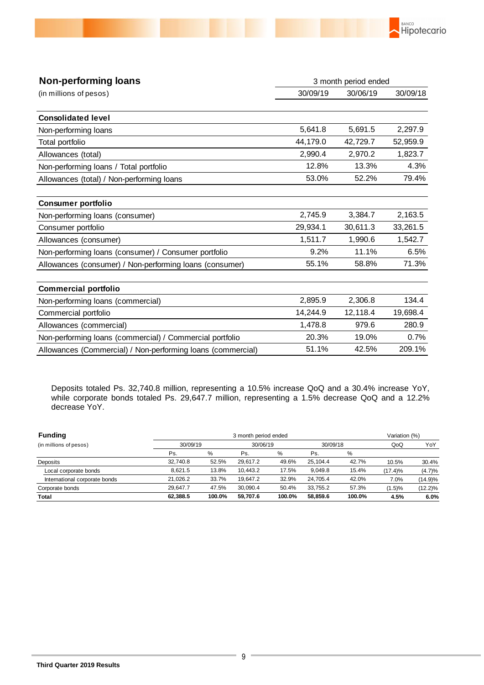

| 30/09/19<br>30/06/19<br>(in millions of pesos)<br><b>Consolidated level</b><br>5,641.8<br>5,691.5<br>Non-performing loans<br>44,179.0<br>42,729.7<br>Total portfolio<br>2,990.4<br>2,970.2<br>Allowances (total)<br>12.8%<br>13.3%<br>Non-performing loans / Total portfolio<br>53.0%<br>52.2%<br>Allowances (total) / Non-performing loans<br><b>Consumer portfolio</b><br>2,745.9<br>3,384.7<br>Non-performing loans (consumer)<br>29,934.1<br>30,611.3<br>Consumer portfolio<br>1,511.7<br>1,990.6<br>Allowances (consumer)<br>11.1%<br>9.2% | 3 month period ended |
|-------------------------------------------------------------------------------------------------------------------------------------------------------------------------------------------------------------------------------------------------------------------------------------------------------------------------------------------------------------------------------------------------------------------------------------------------------------------------------------------------------------------------------------------------|----------------------|
|                                                                                                                                                                                                                                                                                                                                                                                                                                                                                                                                                 | 30/09/18             |
|                                                                                                                                                                                                                                                                                                                                                                                                                                                                                                                                                 |                      |
|                                                                                                                                                                                                                                                                                                                                                                                                                                                                                                                                                 | 2,297.9              |
|                                                                                                                                                                                                                                                                                                                                                                                                                                                                                                                                                 | 52,959.9             |
|                                                                                                                                                                                                                                                                                                                                                                                                                                                                                                                                                 | 1,823.7              |
|                                                                                                                                                                                                                                                                                                                                                                                                                                                                                                                                                 | 4.3%                 |
|                                                                                                                                                                                                                                                                                                                                                                                                                                                                                                                                                 | 79.4%                |
|                                                                                                                                                                                                                                                                                                                                                                                                                                                                                                                                                 |                      |
|                                                                                                                                                                                                                                                                                                                                                                                                                                                                                                                                                 | 2,163.5              |
|                                                                                                                                                                                                                                                                                                                                                                                                                                                                                                                                                 | 33,261.5             |
|                                                                                                                                                                                                                                                                                                                                                                                                                                                                                                                                                 | 1,542.7              |
| Non-performing loans (consumer) / Consumer portfolio                                                                                                                                                                                                                                                                                                                                                                                                                                                                                            | 6.5%                 |
| 55.1%<br>58.8%<br>Allowances (consumer) / Non-performing loans (consumer)                                                                                                                                                                                                                                                                                                                                                                                                                                                                       | 71.3%                |
| <b>Commercial portfolio</b>                                                                                                                                                                                                                                                                                                                                                                                                                                                                                                                     |                      |
| 2,895.9<br>2,306.8<br>Non-performing loans (commercial)                                                                                                                                                                                                                                                                                                                                                                                                                                                                                         | 134.4                |
| 14,244.9<br>12,118.4<br>Commercial portfolio                                                                                                                                                                                                                                                                                                                                                                                                                                                                                                    | 19,698.4             |
| 1,478.8<br>979.6<br>Allowances (commercial)                                                                                                                                                                                                                                                                                                                                                                                                                                                                                                     | 280.9                |
| 20.3%<br>19.0%<br>Non-performing loans (commercial) / Commercial portfolio                                                                                                                                                                                                                                                                                                                                                                                                                                                                      | 0.7%                 |
| 51.1%<br>42.5%<br>Allowances (Commercial) / Non-performing loans (commercial)                                                                                                                                                                                                                                                                                                                                                                                                                                                                   | 209.1%               |

Deposits totaled Ps. 32,740.8 million, representing a 10.5% increase QoQ and a 30.4% increase YoY, while corporate bonds totaled Ps. 29,647.7 million, representing a 1.5% decrease QoQ and a 12.2% decrease YoY.

| <b>Funding</b>                | 3 month period ended |          |          |          |          |          | Variation (%) |            |
|-------------------------------|----------------------|----------|----------|----------|----------|----------|---------------|------------|
| (in millions of pesos)        |                      | 30/09/19 |          | 30/06/19 |          | 30/09/18 | QoQ           | YoY        |
|                               | Ps.                  | %        | Ps.      | $\%$     | Ps.      | %        |               |            |
| Deposits                      | 32.740.8             | 52.5%    | 29.617.2 | 49.6%    | 25.104.4 | 42.7%    | 10.5%         | 30.4%      |
| Local corporate bonds         | 8.621.5              | 13.8%    | 10.443.2 | 17.5%    | 9.049.8  | 15.4%    | (17.4)%       | (4.7)%     |
| International corporate bonds | 21.026.2             | 33.7%    | 19.647.2 | 32.9%    | 24.705.4 | 42.0%    | 7.0%          | $(14.9)\%$ |
| Corporate bonds               | 29.647.7             | 47.5%    | 30.090.4 | 50.4%    | 33.755.2 | 57.3%    | (1.5)%        | $(12.2)\%$ |
| Total                         | 62.388.5             | 100.0%   | 59.707.6 | 100.0%   | 58.859.6 | 100.0%   | 4.5%          | 6.0%       |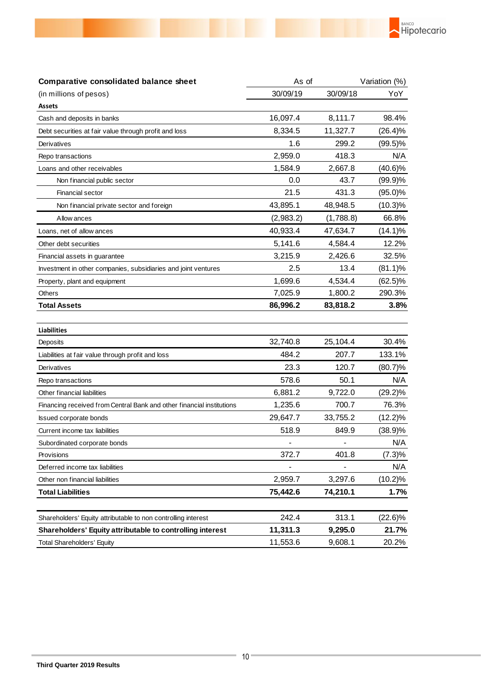

| Comparative consolidated balance sheet                                | As of     |           | Variation (%) |  |
|-----------------------------------------------------------------------|-----------|-----------|---------------|--|
| (in millions of pesos)                                                | 30/09/19  | 30/09/18  | YoY           |  |
| <b>Assets</b>                                                         |           |           |               |  |
| Cash and deposits in banks                                            | 16,097.4  | 8,111.7   | 98.4%         |  |
| Debt securities at fair value through profit and loss                 | 8,334.5   | 11,327.7  | $(26.4)\%$    |  |
| Derivatives                                                           | 1.6       | 299.2     | $(99.5)\%$    |  |
| Repo transactions                                                     | 2,959.0   | 418.3     | N/A           |  |
| Loans and other receivables                                           | 1,584.9   | 2,667.8   | $(40.6)\%$    |  |
| Non financial public sector                                           | 0.0       | 43.7      | $(99.9)\%$    |  |
| Financial sector                                                      | 21.5      | 431.3     | $(95.0)\%$    |  |
| Non financial private sector and foreign                              | 43,895.1  | 48,948.5  | $(10.3)\%$    |  |
| Allow ances                                                           | (2,983.2) | (1,788.8) | 66.8%         |  |
| Loans, net of allow ances                                             | 40,933.4  | 47,634.7  | $(14.1)\%$    |  |
| Other debt securities                                                 | 5,141.6   | 4,584.4   | 12.2%         |  |
| Financial assets in guarantee                                         | 3,215.9   | 2,426.6   | 32.5%         |  |
| Investment in other companies, subsidiaries and joint ventures        | 2.5       | 13.4      | $(81.1)\%$    |  |
| Property, plant and equipment                                         | 1,699.6   | 4,534.4   | $(62.5)\%$    |  |
| <b>Others</b>                                                         | 7,025.9   | 1,800.2   | 290.3%        |  |
| <b>Total Assets</b>                                                   | 86,996.2  | 83,818.2  | 3.8%          |  |
| <b>Liabilities</b>                                                    |           |           |               |  |
| Deposits                                                              | 32,740.8  | 25,104.4  | 30.4%         |  |
| Liabilities at fair value through profit and loss                     | 484.2     | 207.7     | 133.1%        |  |
| Derivatives                                                           | 23.3      | 120.7     | $(80.7)\%$    |  |
| Repo transactions                                                     | 578.6     | 50.1      | N/A           |  |
| Other financial liabilities                                           | 6,881.2   | 9,722.0   | $(29.2)\%$    |  |
| Financing received from Central Bank and other financial institutions | 1,235.6   | 700.7     | 76.3%         |  |
| <b>Issued corporate bonds</b>                                         | 29,647.7  | 33,755.2  | $(12.2)\%$    |  |
| Current income tax liabilities                                        | 518.9     | 849.9     | $(38.9)\%$    |  |
| Subordinated corporate bonds                                          |           |           | N/A           |  |
| Provisions                                                            | 372.7     | 401.8     | (7.3)%        |  |
| Deferred income tax liabilities                                       |           |           | N/A           |  |
| Other non financial liabilities                                       | 2,959.7   | 3,297.6   | $(10.2)\%$    |  |
| <b>Total Liabilities</b>                                              | 75,442.6  | 74,210.1  | 1.7%          |  |
| Shareholders' Equity attributable to non controlling interest         | 242.4     | 313.1     | $(22.6)\%$    |  |
| Shareholders' Equity attributable to controlling interest             | 11,311.3  | 9,295.0   | 21.7%         |  |
| <b>Total Shareholders' Equity</b>                                     | 11,553.6  | 9,608.1   | 20.2%         |  |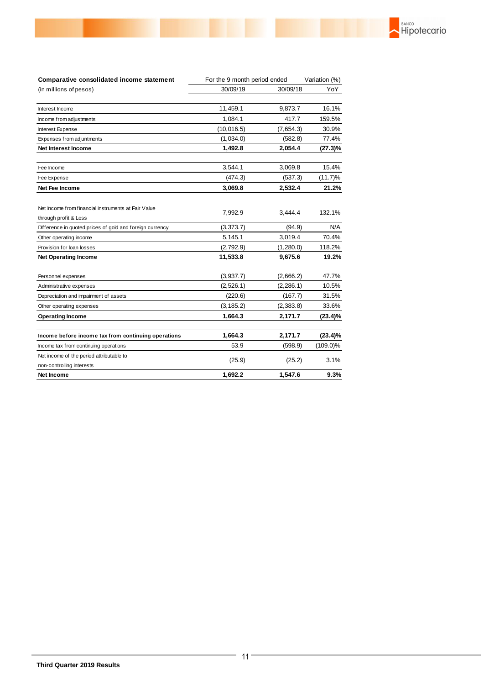| Comparative consolidated income statement                                    | For the 9 month period ended |            | Variation (%) |
|------------------------------------------------------------------------------|------------------------------|------------|---------------|
| (in millions of pesos)                                                       | 30/09/19                     | 30/09/18   | YoY           |
| Interest Income                                                              | 11,459.1                     | 9,873.7    | 16.1%         |
| Income from adjustments                                                      | 1,084.1                      | 417.7      | 159.5%        |
| Interest Expense                                                             | (10, 016.5)                  | (7,654.3)  | 30.9%         |
| Expenses from adjuntments                                                    | (1,034.0)                    | (582.8)    | 77.4%         |
| <b>Net Interest Income</b>                                                   | 1,492.8                      | 2,054.4    | (27.3)%       |
| Fee Income                                                                   | 3,544.1                      | 3,069.8    | 15.4%         |
| Fee Expense                                                                  | (474.3)                      | (537.3)    | $(11.7)\%$    |
| Net Fee Income                                                               | 3,069.8                      | 2,532.4    | 21.2%         |
| Net Income from financial instruments at Fair Value<br>through profit & Loss | 7,992.9                      | 3.444.4    | 132.1%        |
| Difference in quoted prices of gold and foreign currency                     | (3, 373.7)                   | (94.9)     | N/A           |
| Other operating income                                                       | 5,145.1                      | 3,019.4    | 70.4%         |
| Provision for loan losses                                                    | (2,792.9)                    | (1,280.0)  | 118.2%        |
| <b>Net Operating Income</b>                                                  | 11,533.8                     | 9,675.6    | 19.2%         |
| Personnel expenses                                                           | (3,937.7)                    | (2,666.2)  | 47.7%         |
| Administrative expenses                                                      | (2,526.1)                    | (2, 286.1) | 10.5%         |
| Depreciation and impairment of assets                                        | (220.6)                      | (167.7)    | 31.5%         |
| Other operating expenses                                                     | (3, 185.2)                   | (2,383.8)  | 33.6%         |
| <b>Operating Income</b>                                                      | 1,664.3                      | 2,171.7    | $(23.4)\%$    |
| Income before income tax from continuing operations                          | 1,664.3                      | 2,171.7    | $(23.4)\%$    |
| Income tax from continuing operations                                        | 53.9                         | (598.9)    | $(109.0)\%$   |
| Net income of the period attributable to                                     | (25.9)                       | (25.2)     | 3.1%          |
| non-controlling interests<br><b>Net Income</b>                               | 1.692.2                      | 1.547.6    | 9.3%          |

**RANCO**<br>Hipotecario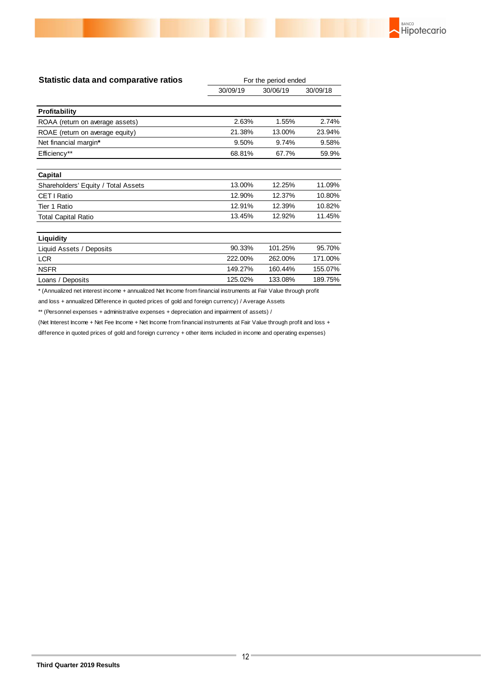

| <b>Statistic data and comparative ratios</b> | For the period ended |          |          |  |
|----------------------------------------------|----------------------|----------|----------|--|
|                                              | 30/09/19             | 30/06/19 | 30/09/18 |  |
| <b>Profitability</b>                         |                      |          |          |  |
| ROAA (return on average assets)              | 2.63%                | 1.55%    | 2.74%    |  |
| ROAE (return on average equity)              | 21.38%               | 13.00%   | 23.94%   |  |
| Net financial margin*                        | 9.50%                | 9.74%    | 9.58%    |  |
| Efficiency**                                 | 68.81%               | 67.7%    | 59.9%    |  |
| Capital                                      |                      |          |          |  |
| Shareholders' Equity / Total Assets          | 13.00%               | 12.25%   | 11.09%   |  |
| CET   Ratio                                  | 12.90%               | 12.37%   | 10.80%   |  |
| Tier 1 Ratio                                 | 12.91%               | 12.39%   | 10.82%   |  |
| <b>Total Capital Ratio</b>                   | 13.45%               | 12.92%   | 11.45%   |  |
| Liquidity                                    |                      |          |          |  |
| Liquid Assets / Deposits                     | 90.33%               | 101.25%  | 95.70%   |  |
| <b>LCR</b>                                   | 222.00%              | 262.00%  | 171.00%  |  |
| <b>NSFR</b>                                  | 149.27%              | 160.44%  | 155.07%  |  |
| Loans / Deposits                             | 125.02%              | 133.08%  | 189.75%  |  |

\* (Annualized net interest income + annualized Net Income from financial instruments at Fair Value through profit

and loss + annualized Difference in quoted prices of gold and foreign currency) / Average Assets

\*\* (Personnel expenses + administrative expenses + depreciation and impairment of assets) /

(Net Interest Income + Net Fee Income + Net Income from financial instruments at Fair Value through profit and loss +

difference in quoted prices of gold and foreign currency + other items included in income and operating expenses)